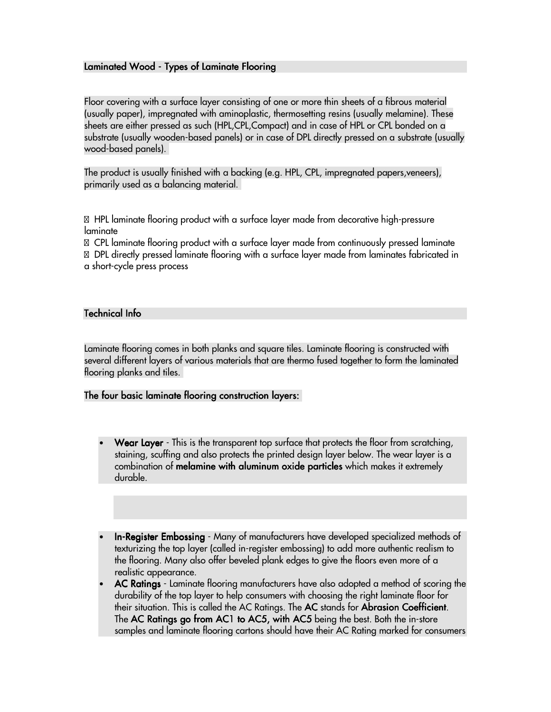# Laminated Wood - Types of Laminate Flooring

Floor covering with a surface layer consisting of one or more thin sheets of a fibrous material (usually paper), impregnated with aminoplastic, thermosetting resins (usually melamine). These sheets are either pressed as such (HPL,CPL,Compact) and in case of HPL or CPL bonded on a substrate (usually wooden-based panels) or in case of DPL directly pressed on a substrate (usually wood-based panels).

The product is usually finished with a backing (e.g. HPL, CPL, impregnated papers,veneers), primarily used as a balancing material.

% HPL laminate flooring product with a surface layer made from decorative high-pressure laminate

% CPL laminate flooring product with a surface layer made from continuously pressed laminate % DPL directly pressed laminate flooring with a surface layer made from laminates fabricated in a short-cycle press process

## Technical Info

Laminate flooring comes in both planks and square tiles. Laminate flooring is constructed with several different layers of various materials that are thermo fused together to form the laminated flooring planks and tiles.

## The four basic laminate flooring construction layers:

- **Wear Layer** This is the transparent top surface that protects the floor from scratching, staining, scuffing and also protects the printed design layer below. The wear layer is a combination of melamine with aluminum oxide particles which makes it extremely durable.
- In-Register Embossing Many of manufacturers have developed specialized methods of texturizing the top layer (called in-register embossing) to add more authentic realism to the flooring. Many also offer beveled plank edges to give the floors even more of a realistic appearance.
- AC Ratings Laminate flooring manufacturers have also adopted a method of scoring the durability of the top layer to help consumers with choosing the right laminate floor for their situation. This is called the AC Ratings. The **AC** stands for **Abrasion Coefficient**. The AC Ratings go from AC1 to AC5, with AC5 being the best. Both the in-store samples and laminate flooring cartons should have their AC Rating marked for consumers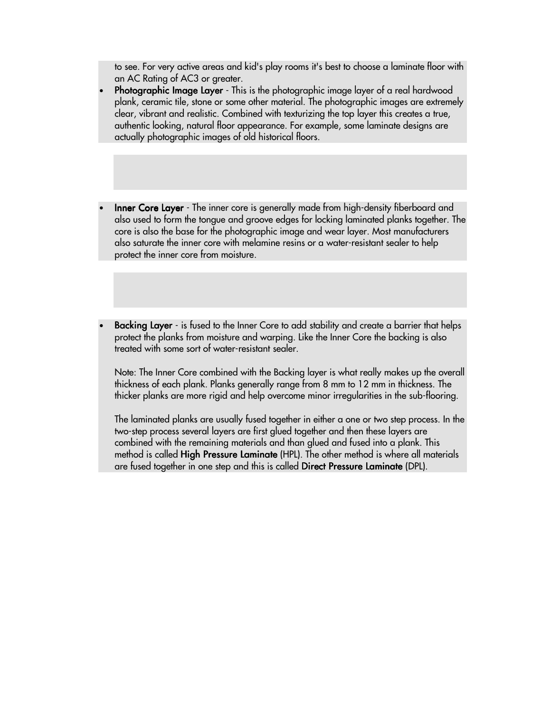to see. For very active areas and kid's play rooms it's best to choose a laminate floor with an AC Rating of AC3 or greater.

- Photographic Image Layer This is the photographic image layer of a real hardwood plank, ceramic tile, stone or some other material. The photographic images are extremely clear, vibrant and realistic. Combined with texturizing the top layer this creates a true, authentic looking, natural floor appearance. For example, some laminate designs are actually photographic images of old historical floors.
- Inner Core Layer The inner core is generally made from high-density fiberboard and also used to form the tongue and groove edges for locking laminated planks together. The core is also the base for the photographic image and wear layer. Most manufacturers also saturate the inner core with melamine resins or a water-resistant sealer to help protect the inner core from moisture.
- Backing Layer is fused to the Inner Core to add stability and create a barrier that helps protect the planks from moisture and warping. Like the Inner Core the backing is also treated with some sort of water-resistant sealer.

Note: The Inner Core combined with the Backing layer is what really makes up the overall thickness of each plank. Planks generally range from 8 mm to 12 mm in thickness. The thicker planks are more rigid and help overcome minor irregularities in the sub-flooring.

The laminated planks are usually fused together in either a one or two step process. In the two-step process several layers are first glued together and then these layers are combined with the remaining materials and than glued and fused into a plank. This method is called High Pressure Laminate (HPL). The other method is where all materials are fused together in one step and this is called Direct Pressure Laminate (DPL).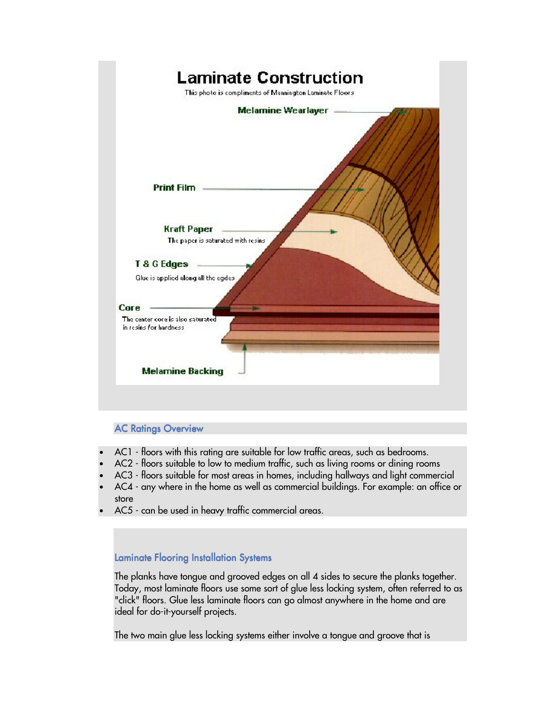

# **AC Ratings Overview**

- AC1 floors with this rating are suitable for low traffic areas, such as bedrooms.
- AC2 floors suitable to low to medium traffic, such as living rooms or dining rooms
- AC3 floors suitable for most areas in homes, including hallways and light commercial
- AC4 any where in the home as well as commercial buildings. For example: an office or store
- AC5 can be used in heavy traffic commercial areas.

## Laminate Flooring Installation Systems

The planks have tongue and grooved edges on all 4 sides to secure the planks together. Today, most laminate floors use some sort of glue less locking system, often referred to as "click" floors. Glue less laminate floors can go almost anywhere in the home and are ideal for do-it-yourself projects.

The two main glue less locking systems either involve a tongue and groove that is